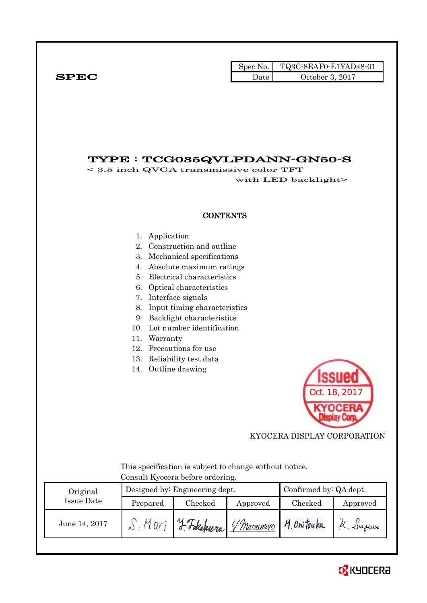|              | Spec No. $\vert$ | TQ3C-8EAF0-E1YAD48-01 |
|--------------|------------------|-----------------------|
| ${\bf SPEC}$ | Date             | October 3, 2017       |

## TYPE : TCG035QVLPDANN-GN50-S

< 3.5 inch QVGA transmissive color TFT with LED backlight>

## **CONTENTS**

- 1. Application
- 2. Construction and outline
- 3. Mechanical specifications
- 4. Absolute maximum ratings
- 5. Electrical characteristics
- 6. Optical characteristics
- 7. Interface signals
- 8. Input timing characteristics
- 9. Backlight characteristics
- 10. Lot number identification
- 11. Warranty
- 12. Precautions for use
- 13. Reliability test data
- 14. Outline drawing



KYOCERA DISPLAY CORPORATION

 This specification is subject to change without notice. Consult Kyocera before ordering.

| Original      |          | Designed by: Engineering dept. |          | Confirmed by: QA dept. |          |
|---------------|----------|--------------------------------|----------|------------------------|----------|
| Issue Date    | Prepared | Checked                        | Approved | Checked                | Approved |
| June 14, 2017 |          | 4 Fakahuera 4 Marsimoro        |          | M. Onitsuka<br>Sugani  |          |

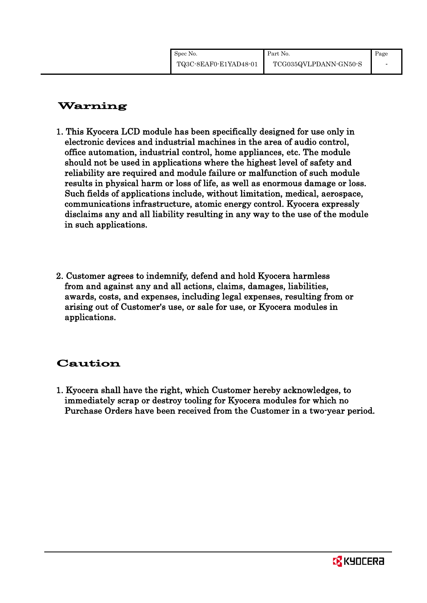| Spec No.              | Part No.              | Page |
|-----------------------|-----------------------|------|
| TQ3C-8EAF0-E1YAD48-01 | TCG035QVLPDANN-GN50-S |      |

# Warning

- 1. This Kyocera LCD module has been specifically designed for use only in electronic devices and industrial machines in the area of audio control, office automation, industrial control, home appliances, etc. The module should not be used in applications where the highest level of safety and reliability are required and module failure or malfunction of such module results in physical harm or loss of life, as well as enormous damage or loss. Such fields of applications include, without limitation, medical, aerospace, communications infrastructure, atomic energy control. Kyocera expressly disclaims any and all liability resulting in any way to the use of the module in such applications.
- 2. Customer agrees to indemnify, defend and hold Kyocera harmless from and against any and all actions, claims, damages, liabilities, awards, costs, and expenses, including legal expenses, resulting from or arising out of Customer's use, or sale for use, or Kyocera modules in applications.

## Caution

1. Kyocera shall have the right, which Customer hereby acknowledges, to immediately scrap or destroy tooling for Kyocera modules for which no Purchase Orders have been received from the Customer in a two-year period.

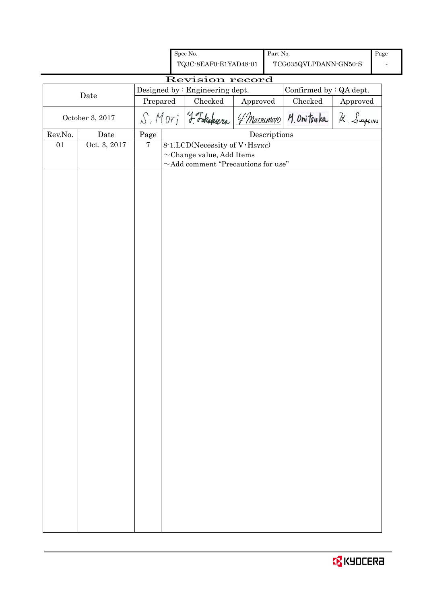|         |                 |            | Spec No.                                                        |          | Part No.                             |                                                      |          | Page |
|---------|-----------------|------------|-----------------------------------------------------------------|----------|--------------------------------------|------------------------------------------------------|----------|------|
|         |                 |            | TQ3C-8EAF0-E1YAD48-01                                           |          |                                      | $\operatorname{TCG035QVLPDANN\text{-}GN50\text{-}S}$ |          |      |
|         |                 |            | Revision record                                                 |          |                                      |                                                      |          |      |
|         |                 |            | Designed by : Engineering dept.                                 |          |                                      | Confirmed by : QA dept.                              |          |      |
|         | Date            | Prepared   | Checked                                                         | Approved |                                      | Checked                                              | Approved |      |
|         | October 3, 2017 |            | S. Mori J. Fakahura                                             |          |                                      | 4 Macromoto M. Onitsuka                              | K. Sugam |      |
| Rev.No. | Date            | $\rm Page$ |                                                                 |          | $\label{eq:2} \textbf{Descriptions}$ |                                                      |          |      |
| $01\,$  | Oct. 3, 2017    | $\bf 7$    | 8-1.LCD(Necessity of V·Hsync)<br>$\sim$ Change value, Add Items |          |                                      |                                                      |          |      |
|         |                 |            | $\sim\!$ Add comment "Precautions for use"                      |          |                                      |                                                      |          |      |
|         |                 |            |                                                                 |          |                                      |                                                      |          |      |
|         |                 |            |                                                                 |          |                                      |                                                      |          |      |
|         |                 |            |                                                                 |          |                                      |                                                      |          |      |
|         |                 |            |                                                                 |          |                                      |                                                      |          |      |
|         |                 |            |                                                                 |          |                                      |                                                      |          |      |
|         |                 |            |                                                                 |          |                                      |                                                      |          |      |
|         |                 |            |                                                                 |          |                                      |                                                      |          |      |
|         |                 |            |                                                                 |          |                                      |                                                      |          |      |
|         |                 |            |                                                                 |          |                                      |                                                      |          |      |
|         |                 |            |                                                                 |          |                                      |                                                      |          |      |
|         |                 |            |                                                                 |          |                                      |                                                      |          |      |
|         |                 |            |                                                                 |          |                                      |                                                      |          |      |
|         |                 |            |                                                                 |          |                                      |                                                      |          |      |
|         |                 |            |                                                                 |          |                                      |                                                      |          |      |
|         |                 |            |                                                                 |          |                                      |                                                      |          |      |
|         |                 |            |                                                                 |          |                                      |                                                      |          |      |
|         |                 |            |                                                                 |          |                                      |                                                      |          |      |
|         |                 |            |                                                                 |          |                                      |                                                      |          |      |
|         |                 |            |                                                                 |          |                                      |                                                      |          |      |
|         |                 |            |                                                                 |          |                                      |                                                      |          |      |
|         |                 |            |                                                                 |          |                                      |                                                      |          |      |
|         |                 |            |                                                                 |          |                                      |                                                      |          |      |
|         |                 |            |                                                                 |          |                                      |                                                      |          |      |
|         |                 |            |                                                                 |          |                                      |                                                      |          |      |
|         |                 |            |                                                                 |          |                                      |                                                      |          |      |
|         |                 |            |                                                                 |          |                                      |                                                      |          |      |
|         |                 |            |                                                                 |          |                                      |                                                      |          |      |
|         |                 |            |                                                                 |          |                                      |                                                      |          |      |
|         |                 |            |                                                                 |          |                                      |                                                      |          |      |
|         |                 |            |                                                                 |          |                                      |                                                      |          |      |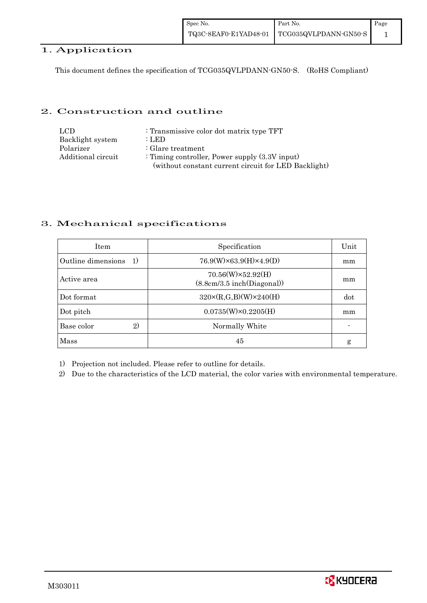## 1. Application

This document defines the specification of TCG035QVLPDANN-GN50-S. (RoHS Compliant)

## 2. Construction and outline

| LCD.               | : Transmissive color dot matrix type TFT             |
|--------------------|------------------------------------------------------|
| Backlight system   | : LED                                                |
| Polarizer          | $\therefore$ Glare treatment                         |
| Additional circuit | : Timing controller, Power supply $(3.3V)$ input)    |
|                    | (without constant current circuit for LED Backlight) |

## 3. Mechanical specifications

| <b>Item</b>              | Specification                                         | Unit |
|--------------------------|-------------------------------------------------------|------|
| Outline dimensions<br>1) | $76.9(W)\times 63.9(H)\times 4.9(D)$                  | mm   |
| Active area              | $70.56(W)\times52.92(H)$<br>(8.8cm/3.5inch(Diagonal)) | mm   |
| Dot format               | $320 \times (R, G, B)(W) \times 240(H)$               | dot  |
| Dot pitch                | $0.0735(W)\times0.2205(H)$                            | mm   |
| Base color<br>2)         | Normally White                                        |      |
| Mass                     | 45                                                    | g    |

1) Projection not included. Please refer to outline for details.

2) Due to the characteristics of the LCD material, the color varies with environmental temperature.

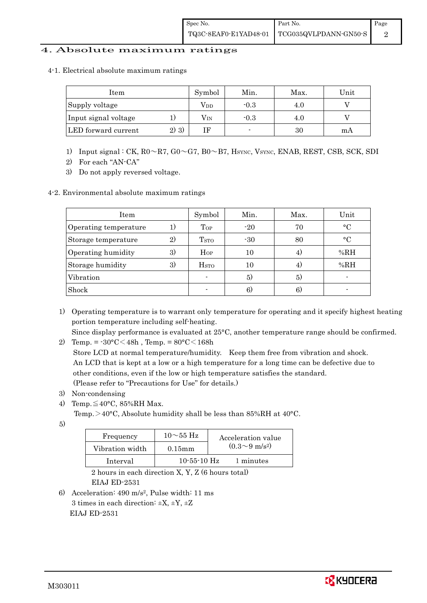## 4. Absolute maximum ratings

4-1. Electrical absolute maximum ratings

| Item                 |       | Symbol | Min.   | Max. | Unit |
|----------------------|-------|--------|--------|------|------|
| Supply voltage       |       | Vpd    | $-0.3$ |      |      |
| Input signal voltage |       | Vin    | $-0.3$ | 4.U  |      |
| LED forward current  | 2) 3) |        |        | 30   | mА   |

- 1) Input signal : CK,  $R0 \sim R7$ ,  $G0 \sim G7$ ,  $B0 \sim B7$ ,  $H_{\text{SYNC}}$ ,  $V_{\text{SYNC}}$ ,  $ENAB$ ,  $REST$ ,  $CSB$ ,  $SCK$ ,  $SDI$
- 2) For each "AN-CA"
- 3) Do not apply reversed voltage.

#### 4-2. Environmental absolute maximum ratings

| Item                  |    | Symbol                   | Min.  | Max. | Unit      |
|-----------------------|----|--------------------------|-------|------|-----------|
| Operating temperature | 1) | $_{Top}$                 | $-20$ | 70   | $\circ$ C |
| Storage temperature   | 2) | T <sub>STO</sub>         | $-30$ | 80   | $\circ$ C |
| Operating humidity    | 3) | $H_{OP}$                 | 10    | 4.   | %RH       |
| Storage humidity      | 3) | $_{\mathrm{HSTO}}$       | 10    | 4)   | %RH       |
| Vibration             |    | $\overline{\phantom{0}}$ | 5)    | 5)   |           |
| Shock                 |    |                          | 6)    | 6)   |           |

1) Operating temperature is to warrant only temperature for operating and it specify highest heating portion temperature including self-heating.

Since display performance is evaluated at 25°C, another temperature range should be confirmed.

2) Temp. =  $-30^{\circ}$ C $<$ 48h, Temp. =  $80^{\circ}$ C $<$ 168h

 Store LCD at normal temperature/humidity. Keep them free from vibration and shock. An LCD that is kept at a low or a high temperature for a long time can be defective due to other conditions, even if the low or high temperature satisfies the standard. (Please refer to "Precautions for Use" for details.)

- 3) Non-condensing
- 4) Temp. $\leq 40^{\circ}$ C, 85%RH Max.
	- Temp. >40°C, Absolute humidity shall be less than 85%RH at 40°C.
- 5)

| Frequency       | $10\sim$ 55 Hz    | Acceleration value         |
|-----------------|-------------------|----------------------------|
| Vibration width | $0.15$ mm         | $(0.3{\sim}9~{\rm m/s^2})$ |
| Interval        | $10 - 55 - 10$ Hz | 1 minutes                  |

 2 hours in each direction X, Y, Z (6 hours total) EIAJ ED-2531

6) Acceleration: 490 m/s2, Pulse width: 11 ms 3 times in each direction:  $\pm X$ ,  $\pm Y$ ,  $\pm Z$ EIAJ ED-2531

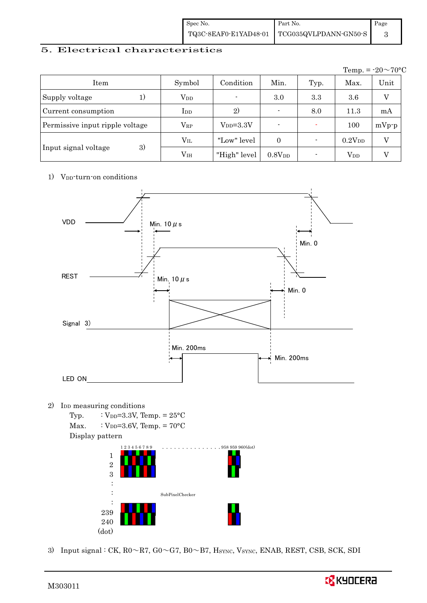| Spec No.              | Part No.              | Page |
|-----------------------|-----------------------|------|
| TQ3C-8EAF0-E1YAD48-01 | TCG035QVLPDANN-GN50-S |      |

## 5. Electrical characteristics

|                                 |               |               |                    |                |                        | Temp. = $-20 \sim 70$ °C |
|---------------------------------|---------------|---------------|--------------------|----------------|------------------------|--------------------------|
| Item                            | Symbol        | Condition     | Min.               | Typ.           | Max.                   | Unit                     |
| Supply voltage                  | $V_{DD}$      |               | 3.0                | 3.3            | 3.6                    |                          |
| Current consumption             | $_{\rm{LDD}}$ | 2)            |                    | 8.0            | 11.3                   | mA                       |
| Permissive input ripple voltage | $V_{RP}$      | $V_{DD}=3.3V$ |                    |                | 100                    | $mVp-p$                  |
|                                 | $\rm V_{II}$  | "Low" level"  | $\Omega$           |                | $0.2V_{DD}$            |                          |
| 3)<br>Input signal voltage      | $\rm V_{IH}$  | "High" level  | 0.8V <sub>DD</sub> | $\blacksquare$ | <b>V</b> <sub>DD</sub> |                          |

### 1) V<sub>DD</sub>-turn-on conditions



3) Input signal : CK,  $R0 \sim R7$ ,  $G0 \sim G7$ ,  $B0 \sim B7$ ,  $H_{\text{SYNC}}$ ,  $V_{\text{SYNC}}$ ,  $ENAB$ ,  $REST$ , CSB, SCK, SDI



239 240 (dot)

l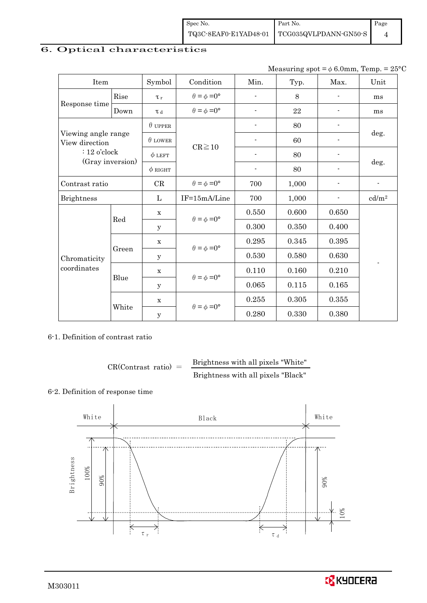| Spec No. | Part No.                                                                                                               | Page |
|----------|------------------------------------------------------------------------------------------------------------------------|------|
|          | $\left. {\color{red}\text{TQ3C-8EAF0-E1YAD48-01}} \right \;\left. {\color{red}\text{TCG035QVLPDANN-GN50-S}} \right.\\$ |      |

## 6. Optical characteristics

Measuring spot =  $\phi$  6.0mm, Temp. = 25°C

| Item                                  | Symbol |                | Condition                   | Min.                     | Typ.  | Max.                     | Unit                     |
|---------------------------------------|--------|----------------|-----------------------------|--------------------------|-------|--------------------------|--------------------------|
| Rise                                  |        | $\tau_r$       | $\theta = \phi = 0^{\circ}$ | ÷                        | 8     | $\overline{\phantom{0}}$ | ms                       |
| Response time                         | Down   | $\tau$ d       | $\theta = \phi = 0^{\circ}$ |                          | 22    |                          | ms                       |
|                                       |        | $\theta$ upper |                             |                          | 80    |                          |                          |
| Viewing angle range<br>View direction |        | $\theta$ LOWER |                             |                          | 60    |                          | deg.                     |
| $: 12$ o'clock<br>(Gray inversion)    |        | $\phi$ LEFT    | $CR \ge 10$                 | ٠                        | 80    | $\overline{\phantom{a}}$ |                          |
|                                       |        | $\phi$ RIGHT   |                             | $\overline{\phantom{0}}$ | 80    | $\overline{\phantom{0}}$ | deg.                     |
| Contrast ratio                        |        | CR             | $\theta = \phi = 0^{\circ}$ | 700                      | 1,000 |                          | $\overline{\phantom{a}}$ |
| <b>Brightness</b>                     |        | L              | IF=15mA/Line                | 700                      | 1,000 |                          | cd/m <sup>2</sup>        |
|                                       |        | $\mathbf X$    | $\theta = \phi = 0^{\circ}$ | 0.550                    | 0.600 | 0.650                    |                          |
|                                       | Red    | y              |                             | 0.300                    | 0.350 | 0.400                    |                          |
|                                       |        | $\mathbf x$    | $\theta = \phi = 0^{\circ}$ | 0.295                    | 0.345 | 0.395                    |                          |
| Chromaticity                          | Green  | у              |                             | 0.530                    | 0.580 | 0.630                    |                          |
| coordinates                           |        | $\mathbf X$    | $\theta = \phi = 0^{\circ}$ | 0.110                    | 0.160 | 0.210                    |                          |
|                                       | Blue   | У              |                             | 0.065                    | 0.115 | 0.165                    |                          |
|                                       |        | $\mathbf x$    |                             | 0.255                    | 0.305 | 0.355                    |                          |
|                                       | White  | y              | $\theta = \phi = 0^{\circ}$ | 0.280                    | 0.330 | 0.380                    |                          |

6-1. Definition of contrast ratio

 $CR(Contrast ratio) =$  Brightness with all pixels "White" Brightness with all pixels "Black"

#### 6-2. Definition of response time



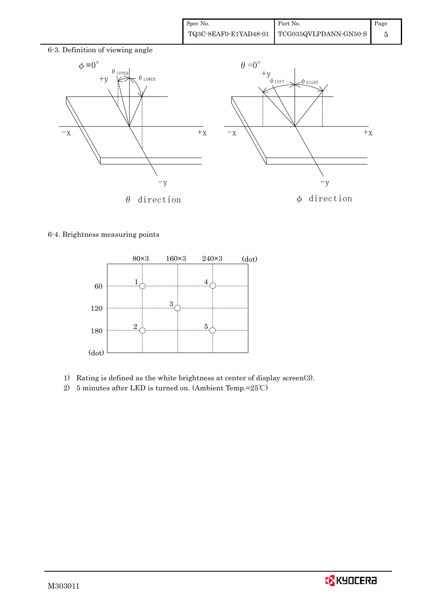| Spec No. | Part No.                                      | Page |
|----------|-----------------------------------------------|------|
|          | TQ3C-8EAF0-E1YAD48-01   TCG035QVLPDANN-GN50-S |      |



6-4. Brightness measuring points



- 1) Rating is defined as the white brightness at center of display screen(3).
- 2) 5 minutes after LED is turned on. (Ambient Temp.=25℃)

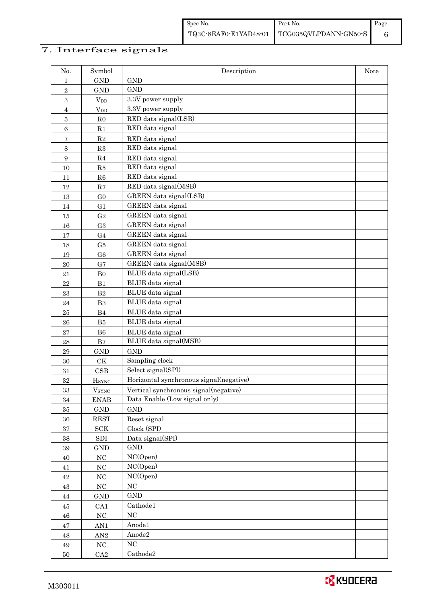## 7. Interface signals

| No.              | Symbol                                   | Description                             | Note |
|------------------|------------------------------------------|-----------------------------------------|------|
| 1                | <b>GND</b>                               | <b>GND</b>                              |      |
| $\,2$            | <b>GND</b>                               | <b>GND</b>                              |      |
| 3                | $\ensuremath{\text{V}}\xspace_\text{DD}$ | 3.3V power supply                       |      |
| $\overline{4}$   | $V_{DD}$                                 | 3.3V power supply                       |      |
| $\overline{5}$   | R <sub>0</sub>                           | RED data signal(LSB)                    |      |
| $\,6$            | R1                                       | RED data signal                         |      |
| 7                | R2                                       | RED data signal                         |      |
| 8                | R3                                       | RED data signal                         |      |
| $\boldsymbol{9}$ | $\rm R4$                                 | RED data signal                         |      |
| 10               | ${\rm R5}$                               | RED data signal                         |      |
| 11               | R6                                       | RED data signal                         |      |
| 12               | R7                                       | RED data signal(MSB)                    |      |
| 13               | G <sub>0</sub>                           | GREEN data signal(LSB)                  |      |
| 14               | G <sub>1</sub>                           | GREEN data signal                       |      |
| 15               | G <sub>2</sub>                           | GREEN data signal                       |      |
| 16               | G <sub>3</sub>                           | GREEN data signal                       |      |
| 17               | G <sub>4</sub>                           | GREEN data signal                       |      |
| 18               | G5                                       | GREEN data signal                       |      |
| 19               | G <sub>6</sub>                           | GREEN data signal                       |      |
| 20               | G7                                       | GREEN data signal(MSB)                  |      |
| 21               | B <sub>0</sub>                           | BLUE data signal(LSB)                   |      |
| 22               | B1                                       | BLUE data signal                        |      |
| 23               | $\mathbf{B}2$                            | BLUE data signal                        |      |
| 24               | B <sub>3</sub>                           | BLUE data signal                        |      |
| 25               | B4                                       | BLUE data signal                        |      |
| 26               | B5                                       | BLUE data signal                        |      |
| 27               | ${\bf B6}$                               | BLUE data signal                        |      |
| 28               | $\mathbf{B}7$                            | BLUE data signal(MSB)                   |      |
| 29               | <b>GND</b>                               | <b>GND</b>                              |      |
| $30\,$           | CK                                       | Sampling clock                          |      |
| 31               | CSB                                      | Select signal(SPI)                      |      |
| 32               | <b>HSYNC</b>                             | Horizontal synchronous signal(negative) |      |
| $33\,$           | $\ensuremath{V_{\text{SYNC}}}$           | Vertical synchronous signal(negative)   |      |
| 34               | <b>ENAB</b>                              | Data Enable (Low signal only)           |      |
| $35\,$           | $\mathop{\rm GND}$                       | <b>GND</b>                              |      |
| $36\,$           | <b>REST</b>                              | Reset signal                            |      |
| $37\,$           | ${\rm SCK}$                              | Clock (SPI)                             |      |
| $38\,$           | ${\rm SDI}$                              | Data signal(SPI)<br>$\mathop{\rm GND}$  |      |
| $39\,$           | <b>GND</b><br>$_{\mathrm{NC}}$           | NC(Open)                                |      |
| 40               | $\rm NC$                                 | NC(Open)                                |      |
| $41\,$<br>$42\,$ | $\rm NC$                                 | NC(Open)                                |      |
| $43\,$           | $_{\mathrm{NC}}$                         | $_{\mathrm{NC}}$                        |      |
| $44\,$           | $\operatorname{GND}$                     | $\mathop{\rm GND}$                      |      |
| $45\,$           | CA1                                      | Cathode1                                |      |
| 46               | $_{\mathrm{NC}}$                         | NC                                      |      |
| $47\,$           | AN1                                      | Anode1                                  |      |
| 48               | $\mbox{AN}2$                             | Anode2                                  |      |
| 49               | $\rm NC$                                 | NC                                      |      |
| $50\,$           | CA2                                      | Cathode2                                |      |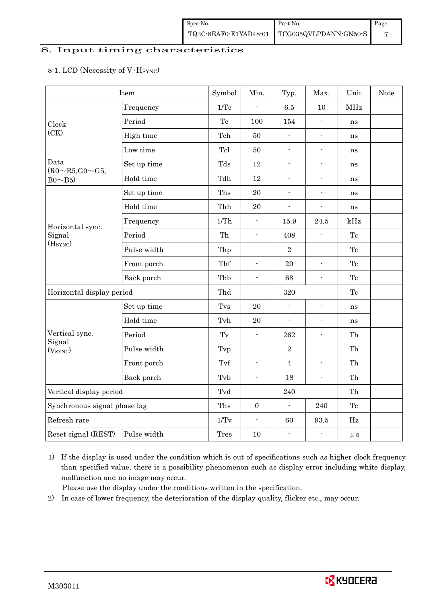### 8. Input timing characteristics

## 8-1. LCD (Necessity of V·H<sub>SYNC</sub>)

|                                    | Item        | Symbol      | Min.             | Typ.                     | Max.                                       | Unit                | Note |
|------------------------------------|-------------|-------------|------------------|--------------------------|--------------------------------------------|---------------------|------|
|                                    | Frequency   | 1/Tc        | $\overline{a}$   | 6.5                      | 10                                         | MHz                 |      |
| Clock                              | Period      | Tc          | 100              | 154                      | $\overline{a}$                             | ns                  |      |
| (CK)                               | High time   | Tch         | 50               | $\blacksquare$           | $\frac{1}{2}$                              | ns                  |      |
|                                    | Low time    | Tcl         | 50               | ÷.                       | $\overline{\phantom{0}}$                   | ns                  |      |
| Data<br>$(R0 \sim R5, G0 \sim G5,$ | Set up time | Tds         | 12               | $\Box$                   | $\overline{a}$                             | ns                  |      |
| $Bo \sim B5$                       | Hold time   | Tdh         | $12\,$           | $\blacksquare$           | $\overline{a}$                             | ns                  |      |
|                                    | Set up time | Ths         | 20               | $\blacksquare$           | $\overline{\phantom{a}}$                   | ns                  |      |
|                                    | Hold time   | Thh         | 20               | $\blacksquare$           | $\blacksquare$                             | ns                  |      |
| Horizontal sync.                   | Frequency   | 1/Th        | $\blacksquare$   | 15.9                     | 24.5                                       | kHz                 |      |
| Signal                             | Period      | Th          | $\blacksquare$   | 408                      | $\blacksquare$                             | Tc                  |      |
| (H <sub>SYNC</sub> )               | Pulse width | Thp         |                  | $\overline{2}$           | $\overline{a}$<br>$\overline{\phantom{a}}$ | Tc                  |      |
|                                    | Front porch | Thf         | $\frac{1}{2}$    | 20                       |                                            | Tc                  |      |
|                                    | Back porch  | Thb         | $\blacksquare$   | 68                       |                                            | $\operatorname{Te}$ |      |
| Horizontal display period          |             | Thd         |                  | 320                      |                                            | Tc                  |      |
|                                    | Set up time | Tvs         | 20               | $\overline{a}$           | $\frac{1}{2}$                              | ns                  |      |
|                                    | Hold time   | Tvh         | 20               | $\overline{\phantom{a}}$ | $\blacksquare$                             | ns                  |      |
| Vertical sync.                     | Period      | Tv          | $\blacksquare$   | 262                      | $\overline{\phantom{a}}$                   | Th                  |      |
| Signal<br>(V <sub>SYNC</sub> )     | Pulse width | Tvp         |                  | $\overline{2}$           |                                            | Th                  |      |
|                                    | Front porch | Tvf         | $\frac{1}{2}$    | $\overline{4}$           | $\overline{a}$                             | Th                  |      |
|                                    | Back porch  | Tvb         | $\blacksquare$   | 18                       | $\frac{1}{2}$                              | Th                  |      |
| Vertical display period            |             | Tvd         |                  | 240                      |                                            | Th                  |      |
| Synchronous signal phase lag       |             | Thy         | $\boldsymbol{0}$ | $\frac{1}{2}$            | 240                                        | Tc                  |      |
| Refresh rate                       |             | 1/Tv        | $\blacksquare$   | 60                       | 93.5                                       | Hz                  |      |
| Reset signal (REST)                | Pulse width | <b>Tres</b> | 10               | $\overline{\phantom{a}}$ | $\overline{a}$                             | $\mu$ S             |      |

1) If the display is used under the condition which is out of specifications such as higher clock frequency than specified value, there is a possibility phenomenon such as display error including white display, malfunction and no image may occur.

Please use the display under the conditions written in the specification.

2) In case of lower frequency, the deterioration of the display quality, flicker etc., may occur.

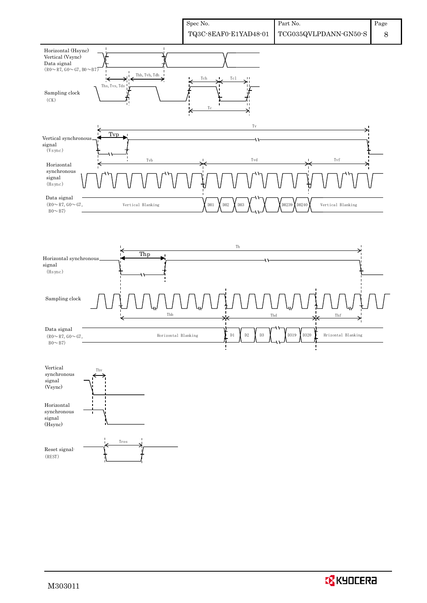

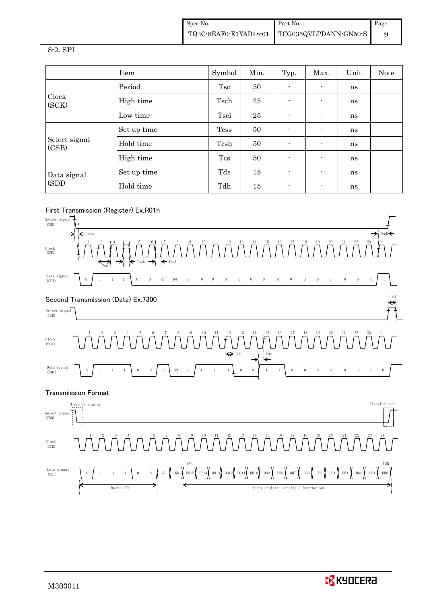Spec No. TQ3C-8EAF0-E1YAD48-01 Part No. TCG035QVLPDANN-GN50-S Page 9

#### 8-2. SPI

|                        | Item        | Symbol      | Min. | Typ.                     | Max.           | Unit | Note |
|------------------------|-------------|-------------|------|--------------------------|----------------|------|------|
|                        | Period      | Tsc         | 50   | $\blacksquare$           | $\blacksquare$ | ns   |      |
| Clock<br>(SCK)         | High time   | Tsch        | 25   | $\overline{\phantom{0}}$ | $\blacksquare$ | ns   |      |
|                        | Low time    | Tscl        | 25   | $\blacksquare$           | $\blacksquare$ | ns   |      |
|                        | Set up time | <b>Tcss</b> | 50   | $\blacksquare$           | $\blacksquare$ | ns   |      |
| Select signal<br>(CSB) | Hold time   | Tcsh        | 50   | -                        | $\blacksquare$ | ns   |      |
|                        | High time   | Tcs         | 50   | -                        | $\blacksquare$ | ns   |      |
| Data signal            | Set up time | Tds         | 15   | -                        | $\blacksquare$ | ns   |      |
| (SDI)                  | Hold time   | Tdh         | 15   | $\overline{\phantom{0}}$ | $\blacksquare$ | ns   |      |

## First Transmission (Register) Ex.R01h



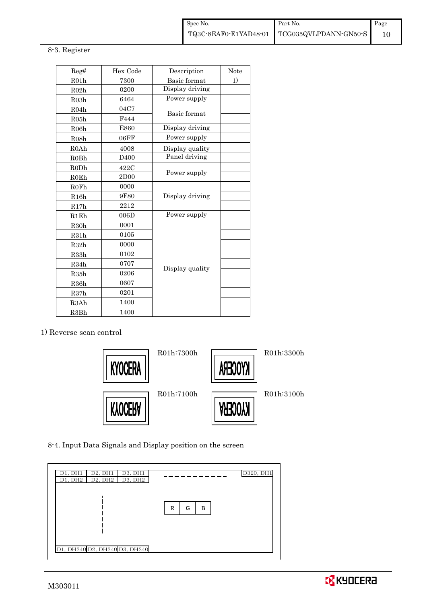#### 8-3. Register

| Reg#              | Hex Code         | Description     | Note |
|-------------------|------------------|-----------------|------|
| R01h              | 7300             | Basic format    | 1)   |
| R02h              | 0200             | Display driving |      |
| R <sub>03</sub> h | 6464             | Power supply    |      |
| R04h              | 04C7             | Basic format    |      |
| R05h              | F444             |                 |      |
| R06h              | E860             | Display driving |      |
| R <sub>08</sub> h | 06FF             | Power supply    |      |
| R0Ah              | 4008             | Display quality |      |
| R <sub>0</sub> Bh | D <sub>400</sub> | Panel driving   |      |
| R0Dh              | 422C             |                 |      |
| R0Eh              | 2D00             | Power supply    |      |
| <b>R0Fh</b>       | 0000             |                 |      |
| R16h              | 9F80             | Display driving |      |
| R17h              | 2212             |                 |      |
| R1Eh              | 006D             | Power supply    |      |
| R30h              | 0001             |                 |      |
| R31h              | 0105             |                 |      |
| R32h              | 0000             |                 |      |
| R33h              | 0102             |                 |      |
| R34h              | 0707             |                 |      |
| R35h              | 0206             | Display quality |      |
| R <sub>36</sub> h | 0607             |                 |      |
| R37h              | 0201             |                 |      |
| R3Ah              | 1400             |                 |      |
| R <sub>3</sub> Bh | 1400             |                 |      |

#### 1) Reverse scan control



8-4. Input Data Signals and Display position on the screen

| D1, DH1 | D2, DH1 | D3, DH1                       |             | D320, DH1 |
|---------|---------|-------------------------------|-------------|-----------|
| D1, DH2 |         | $D2, DH2$ D3, DH2             |             |           |
|         |         | D1, DH240 D2, DH240 D3, DH240 | R<br>G<br>в |           |

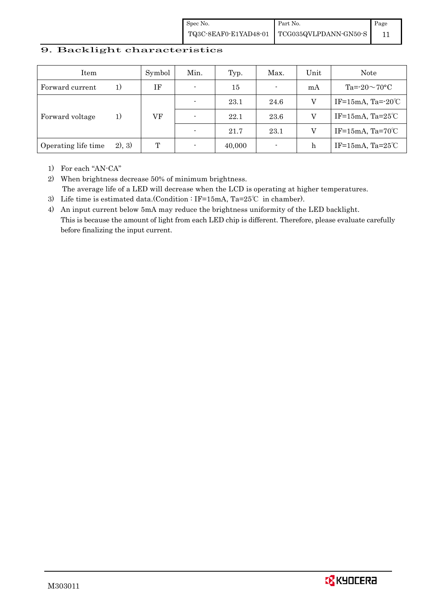| Spec No. | Part No.                                                                                                                   | Page |
|----------|----------------------------------------------------------------------------------------------------------------------------|------|
|          | $\left. {\rm TQ3C\text{-}SEAFO\text{-}E1YAD48\text{-}01} \right  \left. {\rm TCG035QVLPDANN\text{-}GN50\text{-}S} \right $ |      |

## 9. Backlight characteristics

| Item                |        | Symbol | Min. | Typ.   | Max.                     | Unit | Note                         |
|---------------------|--------|--------|------|--------|--------------------------|------|------------------------------|
| Forward current     | 1)     | ΙF     |      | 15     | $\blacksquare$           | mA   | Ta= $-20 \sim 70$ °C         |
|                     | 1)     |        |      | 23.1   | 24.6                     | V    | IF=15mA, Ta= $-20^{\circ}$ C |
| Forward voltage     |        | VF     |      | 22.1   | 23.6                     |      | IF=15mA, Ta= $25^{\circ}$ C  |
|                     |        |        |      | 21.7   | 23.1                     | V    | IF=15mA, Ta= $70^{\circ}$ C  |
| Operating life time | 2), 3) | Т      |      | 40,000 | $\overline{\phantom{a}}$ | h    | IF=15mA, Ta= $25^{\circ}$ C  |

1) For each "AN-CA"

2) When brightness decrease 50% of minimum brightness. The average life of a LED will decrease when the LCD is operating at higher temperatures.

- 3) Life time is estimated data.(Condition : IF=15mA, Ta=25℃ in chamber).
- 4) An input current below 5mA may reduce the brightness uniformity of the LED backlight. This is because the amount of light from each LED chip is different. Therefore, please evaluate carefully before finalizing the input current.

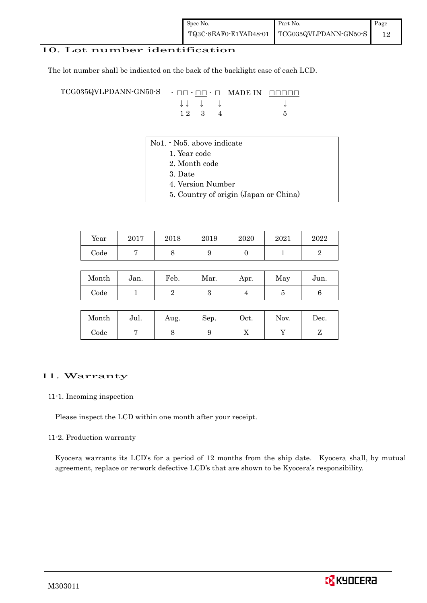## 10. Lot number identification

The lot number shall be indicated on the back of the backlight case of each LCD.

TCG035QVLPDANN-GN50-S - □□ - □□ - □ MADE IN □□□□□ ↓ ↓ ↓ ↓ ↓  $12 \quad 3 \quad 4$  5

- No1. No5. above indicate
	- 1. Year code
		- 2. Month code
		- 3. Date
		- 4. Version Number
		- 5. Country of origin (Japan or China)

| Year | 2017 | 2018 | 2019 | 2020 | 2021 | 2022 |
|------|------|------|------|------|------|------|
| Code |      |      |      |      |      |      |

| Month      | Jan. | Feb. | Mar. | Apr. | May | Jun. |
|------------|------|------|------|------|-----|------|
| $\rm Code$ |      |      |      |      |     |      |

| Month | Jul. | Aug. | Sep. | Oct. | Nov. | Dec. |
|-------|------|------|------|------|------|------|
| Code  |      | ◡    |      | 77   |      |      |

#### 11. Warranty

#### 11-1. Incoming inspection

Please inspect the LCD within one month after your receipt.

#### 11-2. Production warranty

 Kyocera warrants its LCD's for a period of 12 months from the ship date. Kyocera shall, by mutual agreement, replace or re-work defective LCD's that are shown to be Kyocera's responsibility.

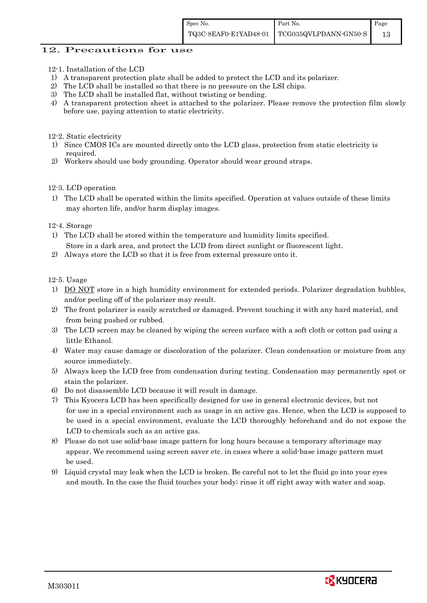### 12. Precautions for use

- 12-1. Installation of the LCD
- 1) A transparent protection plate shall be added to protect the LCD and its polarizer.
- 2) The LCD shall be installed so that there is no pressure on the LSI chips.
- 3) The LCD shall be installed flat, without twisting or bending.
- 4) A transparent protection sheet is attached to the polarizer. Please remove the protection film slowly before use, paying attention to static electricity.

12-2. Static electricity

- 1) Since CMOS ICs are mounted directly onto the LCD glass, protection from static electricity is required.
- 2) Workers should use body grounding. Operator should wear ground straps.

#### 12-3. LCD operation

1) The LCD shall be operated within the limits specified. Operation at values outside of these limits may shorten life, and/or harm display images.

#### 12-4. Storage

- 1) The LCD shall be stored within the temperature and humidity limits specified. Store in a dark area, and protect the LCD from direct sunlight or fluorescent light.
- 2) Always store the LCD so that it is free from external pressure onto it.

12-5. Usage

- 1) DO NOT store in a high humidity environment for extended periods. Polarizer degradation bubbles, and/or peeling off of the polarizer may result.
- 2) The front polarizer is easily scratched or damaged. Prevent touching it with any hard material, and from being pushed or rubbed.
- 3) The LCD screen may be cleaned by wiping the screen surface with a soft cloth or cotton pad using a little Ethanol.
- 4) Water may cause damage or discoloration of the polarizer. Clean condensation or moisture from any source immediately.
- 5) Always keep the LCD free from condensation during testing. Condensation may permanently spot or stain the polarizer.
- 6) Do not disassemble LCD because it will result in damage.
- 7) This Kyocera LCD has been specifically designed for use in general electronic devices, but not for use in a special environment such as usage in an active gas. Hence, when the LCD is supposed to be used in a special environment, evaluate the LCD thoroughly beforehand and do not expose the LCD to chemicals such as an active gas.
- 8) Please do not use solid-base image pattern for long hours because a temporary afterimage may appear. We recommend using screen saver etc. in cases where a solid-base image pattern must be used.
- 9) Liquid crystal may leak when the LCD is broken. Be careful not to let the fluid go into your eyes and mouth. In the case the fluid touches your body; rinse it off right away with water and soap.

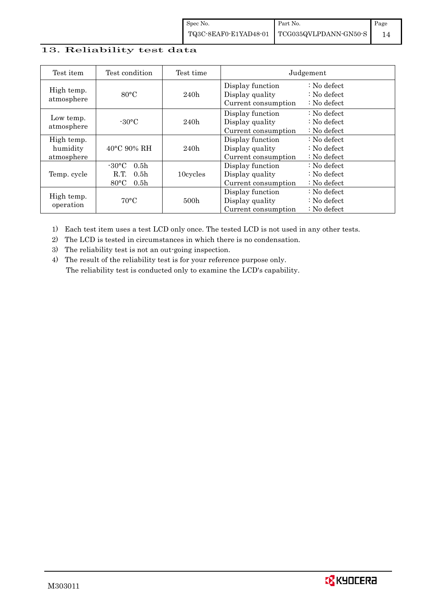## 13. Reliability test data

| Test item                            | Test condition                                                                                       | Test time        | Judgement                                                  |                                                                            |  |
|--------------------------------------|------------------------------------------------------------------------------------------------------|------------------|------------------------------------------------------------|----------------------------------------------------------------------------|--|
| High temp.<br>atmosphere             | $80^{\circ}$ C                                                                                       | 240h             | Display function<br>Display quality<br>Current consumption | $\therefore$ No defect<br>$\therefore$ No defect<br>$\therefore$ No defect |  |
| Low temp.<br>atmosphere              | $-30\degree C$<br>240h                                                                               |                  | Display function<br>Display quality<br>Current consumption | $: No$ defect<br>$\therefore$ No defect<br>$\therefore$ No defect          |  |
| High temp.<br>humidity<br>atmosphere | $40^{\circ}$ C 90% RH                                                                                | 240h             | Display function<br>Display quality<br>Current consumption | : No defect<br>$\therefore$ No defect<br>$: No$ defect                     |  |
| Temp. cycle                          | $-30\degree C$<br>0.5 <sub>h</sub><br>R.T.<br>0.5 <sub>h</sub><br>$80^{\circ}$ C<br>0.5 <sub>h</sub> | 10cycles         | Display function<br>Display quality<br>Current consumption | $: No$ defect<br>$\therefore$ No defect<br>$\therefore$ No defect          |  |
| High temp.<br>operation              | $70^{\circ}$ C                                                                                       | 500 <sub>h</sub> | Display function<br>Display quality<br>Current consumption | $: No$ defect<br>$\therefore$ No defect<br>$: No$ defect                   |  |

1) Each test item uses a test LCD only once. The tested LCD is not used in any other tests.

2) The LCD is tested in circumstances in which there is no condensation.

3) The reliability test is not an out-going inspection.

4) The result of the reliability test is for your reference purpose only. The reliability test is conducted only to examine the LCD's capability.

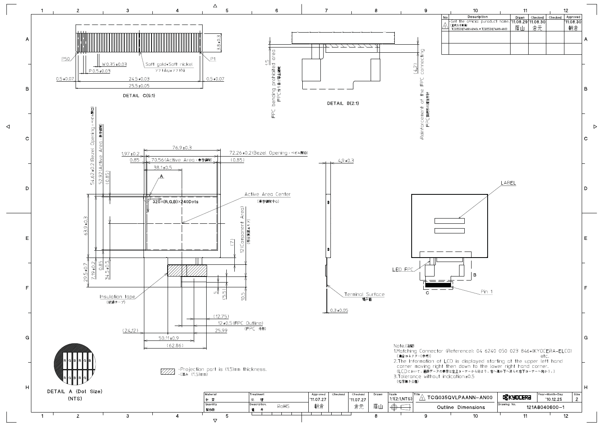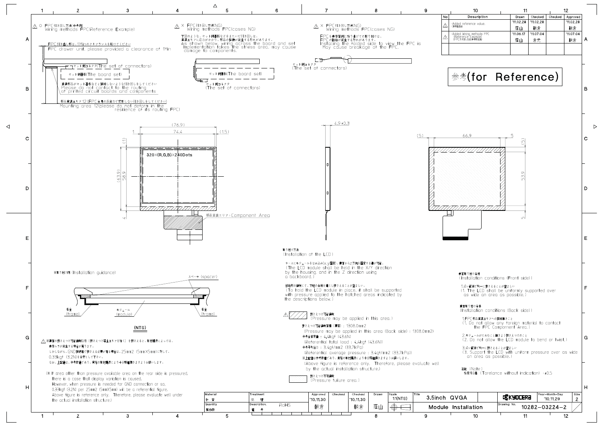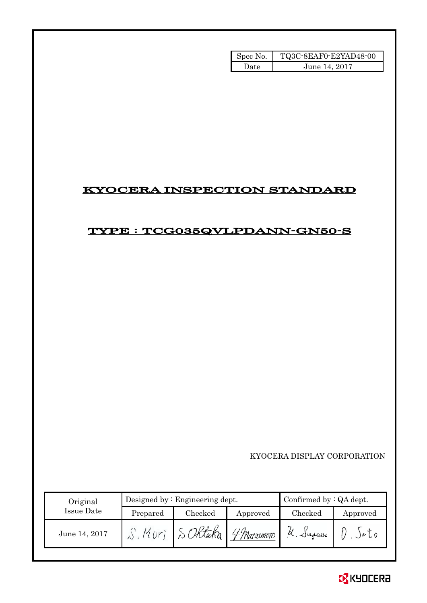| Spec No. | TQ3C-8EAF0-E2YAD48-00 |
|----------|-----------------------|
| Date.    | June 14, 2017         |

## KYOCERA INSPECTION STANDARD

# TYPE : TCG035QVLPDANN-GN50-S

KYOCERA DISPLAY CORPORATION

| Original      |          | Designed by $:$ Engineering dept. | Confirmed by $:QA$ dept. |            |               |
|---------------|----------|-----------------------------------|--------------------------|------------|---------------|
| Issue Date    | Prepared | Checked                           | Approved                 | Checked    | Approved      |
| June 14, 2017 |          |                                   | 'f Matsumoto             | $A.$ Sugar | $J$ a $U$ $0$ |

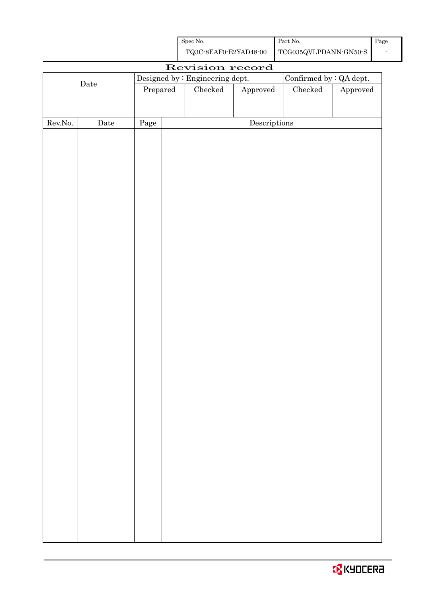| Spec No.              | Part No.                | Page |
|-----------------------|-------------------------|------|
| TQ3C-8EAF0-E2YAD48-00 | $TCG035QVLPDANN-GN50-S$ |      |

|                  | Revision record      |          |  |                                                                   |                                      |               |          |
|------------------|----------------------|----------|--|-------------------------------------------------------------------|--------------------------------------|---------------|----------|
|                  |                      |          |  | Designed by : Engineering dept.<br>Confirmed by $\colon$ QA dept. |                                      |               |          |
|                  | $\rm{\textbf{Date}}$ | Prepared |  | $\rm Checked$                                                     | ${\Large\bf Approved}$               | $\rm Checked$ | Approved |
|                  |                      |          |  |                                                                   |                                      |               |          |
|                  |                      |          |  |                                                                   |                                      |               |          |
| ${\rm Rev. No.}$ | $\rm{\textbf{Date}}$ | Page     |  |                                                                   | $\label{eq:2} \textbf{Descriptions}$ |               |          |
|                  |                      |          |  |                                                                   |                                      |               |          |
|                  |                      |          |  |                                                                   |                                      |               |          |
|                  |                      |          |  |                                                                   |                                      |               |          |
|                  |                      |          |  |                                                                   |                                      |               |          |
|                  |                      |          |  |                                                                   |                                      |               |          |
|                  |                      |          |  |                                                                   |                                      |               |          |
|                  |                      |          |  |                                                                   |                                      |               |          |
|                  |                      |          |  |                                                                   |                                      |               |          |
|                  |                      |          |  |                                                                   |                                      |               |          |
|                  |                      |          |  |                                                                   |                                      |               |          |
|                  |                      |          |  |                                                                   |                                      |               |          |
|                  |                      |          |  |                                                                   |                                      |               |          |
|                  |                      |          |  |                                                                   |                                      |               |          |
|                  |                      |          |  |                                                                   |                                      |               |          |
|                  |                      |          |  |                                                                   |                                      |               |          |
|                  |                      |          |  |                                                                   |                                      |               |          |
|                  |                      |          |  |                                                                   |                                      |               |          |
|                  |                      |          |  |                                                                   |                                      |               |          |
|                  |                      |          |  |                                                                   |                                      |               |          |
|                  |                      |          |  |                                                                   |                                      |               |          |
|                  |                      |          |  |                                                                   |                                      |               |          |
|                  |                      |          |  |                                                                   |                                      |               |          |
|                  |                      |          |  |                                                                   |                                      |               |          |
|                  |                      |          |  |                                                                   |                                      |               |          |
|                  |                      |          |  |                                                                   |                                      |               |          |
|                  |                      |          |  |                                                                   |                                      |               |          |
|                  |                      |          |  |                                                                   |                                      |               |          |
|                  |                      |          |  |                                                                   |                                      |               |          |
|                  |                      |          |  |                                                                   |                                      |               |          |
|                  |                      |          |  |                                                                   |                                      |               |          |
|                  |                      |          |  |                                                                   |                                      |               |          |
|                  |                      |          |  |                                                                   |                                      |               |          |
|                  |                      |          |  |                                                                   |                                      |               |          |
|                  |                      |          |  |                                                                   |                                      |               |          |
|                  |                      |          |  |                                                                   |                                      |               |          |
|                  |                      |          |  |                                                                   |                                      |               |          |
|                  |                      |          |  |                                                                   |                                      |               |          |

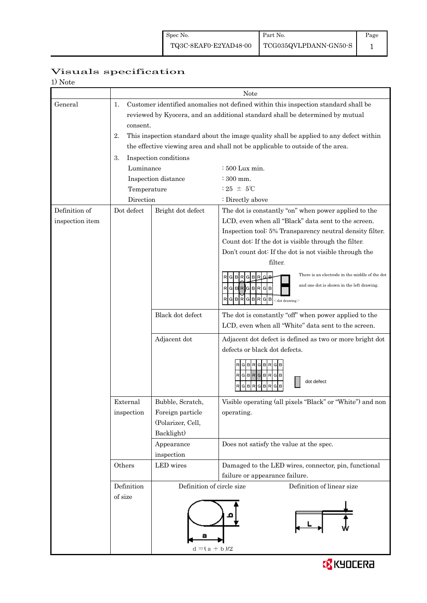## Visuals specification

| 1) Note         |                                                                                              |                           |                                                                                           |  |  |  |  |
|-----------------|----------------------------------------------------------------------------------------------|---------------------------|-------------------------------------------------------------------------------------------|--|--|--|--|
|                 |                                                                                              | Note                      |                                                                                           |  |  |  |  |
| General         | Customer identified anomalies not defined within this inspection standard shall be<br>1.     |                           |                                                                                           |  |  |  |  |
|                 | reviewed by Kyocera, and an additional standard shall be determined by mutual                |                           |                                                                                           |  |  |  |  |
|                 | consent.                                                                                     |                           |                                                                                           |  |  |  |  |
|                 | 2.<br>This inspection standard about the image quality shall be applied to any defect within |                           |                                                                                           |  |  |  |  |
|                 | the effective viewing area and shall not be applicable to outside of the area.               |                           |                                                                                           |  |  |  |  |
|                 | Inspection conditions<br>3.                                                                  |                           |                                                                                           |  |  |  |  |
|                 | Luminance                                                                                    |                           | : 500 Lux min.                                                                            |  |  |  |  |
|                 |                                                                                              | Inspection distance       | $\div 300$ mm.                                                                            |  |  |  |  |
|                 | Temperature                                                                                  |                           | $:25 \pm 5^{\circ}$ C                                                                     |  |  |  |  |
|                 | Direction                                                                                    |                           | : Directly above                                                                          |  |  |  |  |
| Definition of   | Dot defect                                                                                   | Bright dot defect         | The dot is constantly "on" when power applied to the                                      |  |  |  |  |
| inspection item |                                                                                              |                           | LCD, even when all "Black" data sent to the screen.                                       |  |  |  |  |
|                 |                                                                                              |                           | Inspection tool: 5% Transparency neutral density filter.                                  |  |  |  |  |
|                 |                                                                                              |                           | Count dot: If the dot is visible through the filter.                                      |  |  |  |  |
|                 |                                                                                              |                           | Don't count dot: If the dot is not visible through the                                    |  |  |  |  |
|                 |                                                                                              |                           | filter.                                                                                   |  |  |  |  |
|                 |                                                                                              |                           | There is an electrode in the middle of the dot<br>G B <br>R<br>G                          |  |  |  |  |
|                 |                                                                                              |                           | and one dot is shown in the left drawing.<br>RGBRGBRGB                                    |  |  |  |  |
|                 |                                                                                              |                           | B<br>B<br><sub>R</sub><br>G<br>R<br>G<br>G<br>в<br>$<$ dot drawing $>$                    |  |  |  |  |
|                 |                                                                                              | Black dot defect          | The dot is constantly "off" when power applied to the                                     |  |  |  |  |
|                 |                                                                                              |                           | LCD, even when all "White" data sent to the screen.                                       |  |  |  |  |
|                 |                                                                                              | Adjacent dot              | Adjacent dot defect is defined as two or more bright dot<br>defects or black dot defects. |  |  |  |  |
|                 |                                                                                              |                           |                                                                                           |  |  |  |  |
|                 |                                                                                              |                           | RGBRGBR                                                                                   |  |  |  |  |
|                 |                                                                                              |                           | $R$ GBRG<br><b>BR</b><br>G<br>в<br>dot defect                                             |  |  |  |  |
|                 |                                                                                              |                           | в<br>G                                                                                    |  |  |  |  |
|                 | External                                                                                     | Bubble, Scratch,          | Visible operating (all pixels "Black" or "White") and non                                 |  |  |  |  |
|                 | inspection                                                                                   | Foreign particle          | operating.                                                                                |  |  |  |  |
|                 |                                                                                              | (Polarizer, Cell,         |                                                                                           |  |  |  |  |
|                 |                                                                                              | Backlight)                |                                                                                           |  |  |  |  |
|                 |                                                                                              | Appearance                | Does not satisfy the value at the spec.                                                   |  |  |  |  |
|                 |                                                                                              | inspection                |                                                                                           |  |  |  |  |
|                 | Others                                                                                       | LED wires                 | Damaged to the LED wires, connector, pin, functional                                      |  |  |  |  |
|                 |                                                                                              |                           | failure or appearance failure.                                                            |  |  |  |  |
|                 | Definition                                                                                   | Definition of circle size | Definition of linear size                                                                 |  |  |  |  |
|                 | of size                                                                                      |                           |                                                                                           |  |  |  |  |
|                 |                                                                                              |                           |                                                                                           |  |  |  |  |
|                 |                                                                                              |                           |                                                                                           |  |  |  |  |
|                 |                                                                                              |                           |                                                                                           |  |  |  |  |
|                 |                                                                                              | $d = (a + b)/2$           |                                                                                           |  |  |  |  |